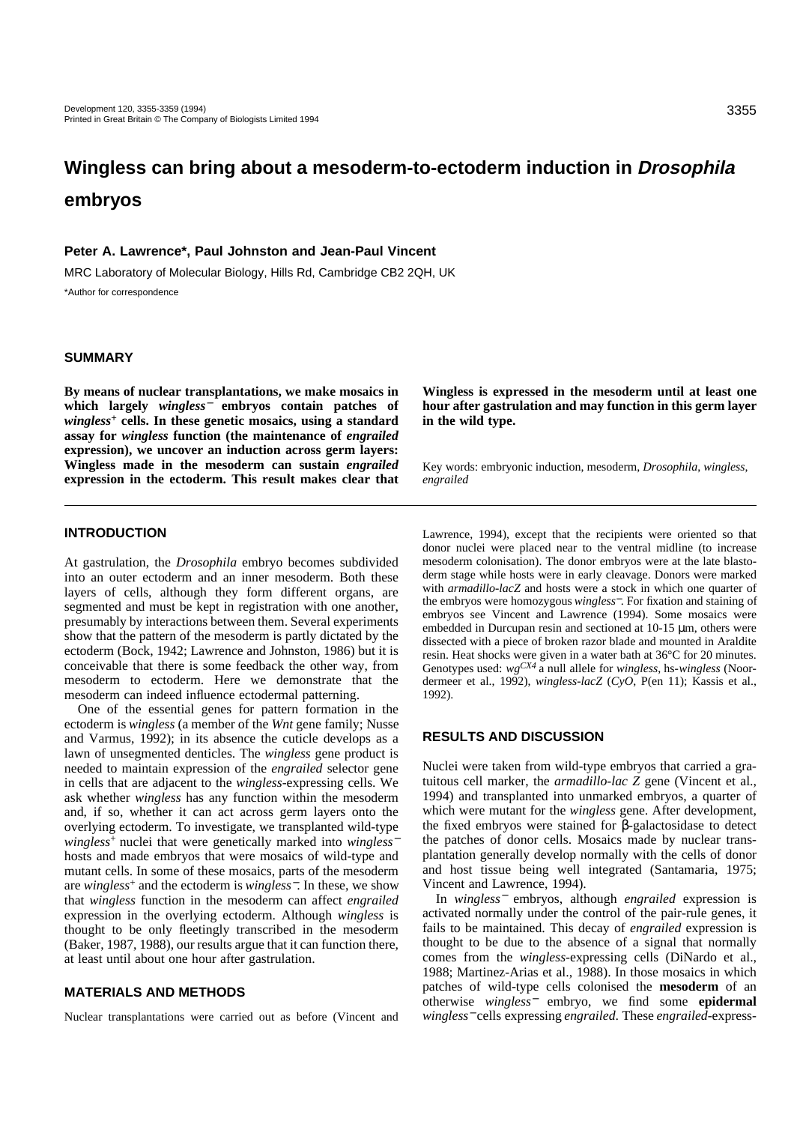# **Wingless can bring about a mesoderm-to-ectoderm induction in Drosophila embryos**

## **Peter A. Lawrence\*, Paul Johnston and Jean-Paul Vincent**

MRC Laboratory of Molecular Biology, Hills Rd, Cambridge CB2 2QH, UK \*Author for correspondence

# **SUMMARY**

**By means of nuclear transplantations, we make mosaics in which largely** *wingless*<sup>−</sup> **embryos contain patches of** *wingless***<sup>+</sup> cells. In these genetic mosaics, using a standard assay for** *wingless* **function (the maintenance of** *engrailed* **expression), we uncover an induction across germ layers: Wingless made in the mesoderm can sustain** *engrailed* **expression in the ectoderm. This result makes clear that**

**Wingless is expressed in the mesoderm until at least one hour after gastrulation and may function in this germ layer in the wild type.** 

Key words: embryonic induction, mesoderm, *Drosophila*, *wingless*, *engrailed*

## **INTRODUCTION**

At gastrulation, the *Drosophila* embryo becomes subdivided into an outer ectoderm and an inner mesoderm. Both these layers of cells, although they form different organs, are segmented and must be kept in registration with one another, presumably by interactions between them. Several experiments show that the pattern of the mesoderm is partly dictated by the ectoderm (Bock, 1942; Lawrence and Johnston, 1986) but it is conceivable that there is some feedback the other way, from mesoderm to ectoderm. Here we demonstrate that the mesoderm can indeed influence ectodermal patterning.

One of the essential genes for pattern formation in the ectoderm is *wingless* (a member of the *Wnt* gene family; Nusse and Varmus, 1992); in its absence the cuticle develops as a lawn of unsegmented denticles. The *wingless* gene product is needed to maintain expression of the *engrailed* selector gene in cells that are adjacent to the *wingless*-expressing cells. We ask whether *wingless* has any function within the mesoderm and, if so, whether it can act across germ layers onto the overlying ectoderm. To investigate, we transplanted wild-type *wingless*+ nuclei that were genetically marked into *wingless*<sup>−</sup> hosts and made embryos that were mosaics of wild-type and mutant cells. In some of these mosaics, parts of the mesoderm are *wingless*<sup>+</sup> and the ectoderm is *wingless*−. In these, we show that *wingless* function in the mesoderm can affect *engrailed* expression in the overlying ectoderm. Although *wingless* is thought to be only fleetingly transcribed in the mesoderm (Baker, 1987, 1988), our results argue that it can function there, at least until about one hour after gastrulation.

#### **MATERIALS AND METHODS**

Nuclear transplantations were carried out as before (Vincent and

Lawrence, 1994), except that the recipients were oriented so that donor nuclei were placed near to the ventral midline (to increase mesoderm colonisation). The donor embryos were at the late blastoderm stage while hosts were in early cleavage. Donors were marked with *armadillo-lacZ* and hosts were a stock in which one quarter of the embryos were homozygous *wingless*−. For fixation and staining of embryos see Vincent and Lawrence (1994). Some mosaics were embedded in Durcupan resin and sectioned at 10-15 µm, others were dissected with a piece of broken razor blade and mounted in Araldite resin. Heat shocks were given in a water bath at 36°C for 20 minutes. Genotypes used: *wgCX4* a null allele for *wingless*, hs-*wingless* (Noordermeer et al., 1992), *wingless*-*lacZ* (*CyO*, P(en 11); Kassis et al., 1992).

## **RESULTS AND DISCUSSION**

Nuclei were taken from wild-type embryos that carried a gratuitous cell marker, the *armadillo-lac Z* gene (Vincent et al., 1994) and transplanted into unmarked embryos, a quarter of which were mutant for the *wingless* gene. After development, the fixed embryos were stained for β-galactosidase to detect the patches of donor cells. Mosaics made by nuclear transplantation generally develop normally with the cells of donor and host tissue being well integrated (Santamaria, 1975; Vincent and Lawrence, 1994).

In *wingless*<sup>−</sup> embryos, although *engrailed* expression is activated normally under the control of the pair-rule genes, it fails to be maintained. This decay of *engrailed* expression is thought to be due to the absence of a signal that normally comes from the *wingless*-expressing cells (DiNardo et al., 1988; Martinez-Arias et al., 1988). In those mosaics in which patches of wild-type cells colonised the **mesoderm** of an otherwise *wingless*<sup>−</sup> embryo, we find some **epidermal** *wingless*<sup>−</sup> cells expressing *engrailed*. These *engrailed*-express-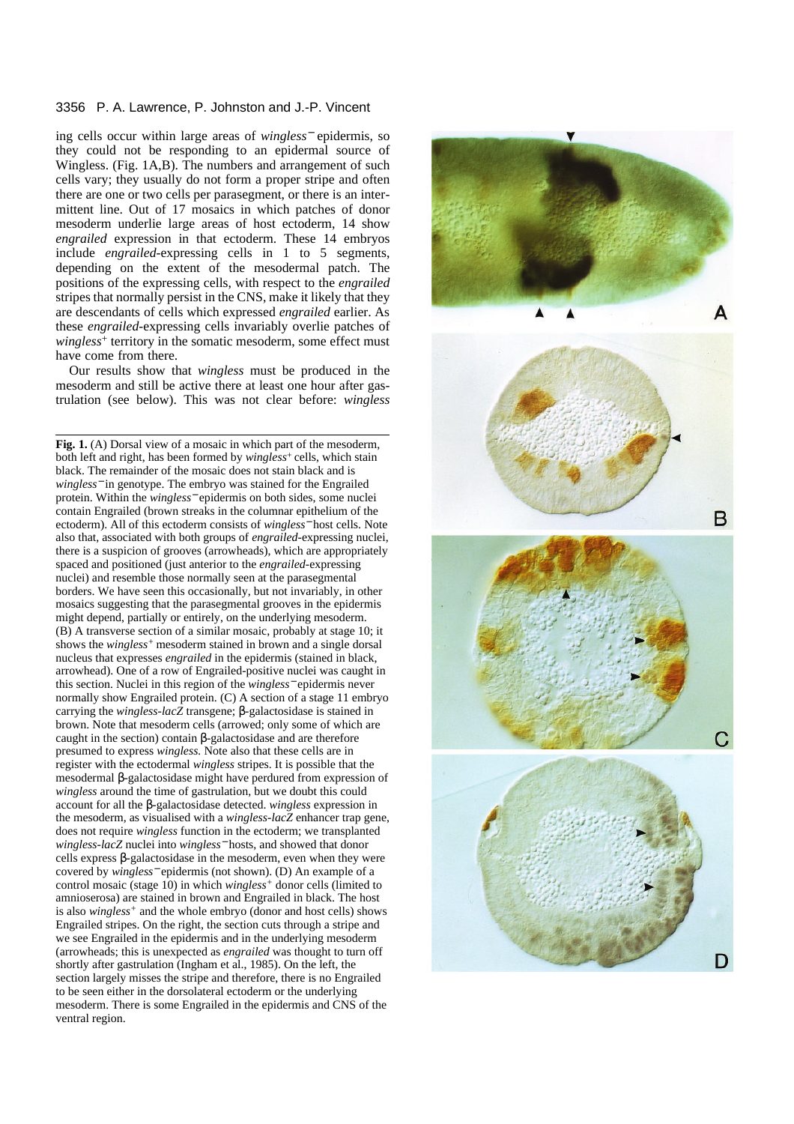#### 3356 P. A. Lawrence, P. Johnston and J.-P. Vincent

ing cells occur within large areas of *wingless*<sup>−</sup> epidermis, so they could not be responding to an epidermal source of Wingless. (Fig. 1A,B). The numbers and arrangement of such cells vary; they usually do not form a proper stripe and often there are one or two cells per parasegment, or there is an intermittent line. Out of 17 mosaics in which patches of donor mesoderm underlie large areas of host ectoderm, 14 show *engrailed* expression in that ectoderm. These 14 embryos include *engrailed-*expressing cells in 1 to 5 segments, depending on the extent of the mesodermal patch. The positions of the expressing cells, with respect to the *engrailed* stripes that normally persist in the CNS, make it likely that they are descendants of cells which expressed *engrailed* earlier. As these *engrailed-*expressing cells invariably overlie patches of *wingless*<sup>+</sup> territory in the somatic mesoderm, some effect must have come from there.

Our results show that *wingless* must be produced in the mesoderm and still be active there at least one hour after gastrulation (see below). This was not clear before: *wingless*

**Fig. 1.** (A) Dorsal view of a mosaic in which part of the mesoderm, both left and right, has been formed by *wingless*+ cells, which stain black. The remainder of the mosaic does not stain black and is *wingless*<sup>−</sup> in genotype. The embryo was stained for the Engrailed protein. Within the *wingless*<sup>−</sup> epidermis on both sides, some nuclei contain Engrailed (brown streaks in the columnar epithelium of the ectoderm). All of this ectoderm consists of *wingless*<sup>−</sup> host cells. Note also that, associated with both groups of *engrailed*-expressing nuclei, there is a suspicion of grooves (arrowheads), which are appropriately spaced and positioned (just anterior to the *engrailed*-expressing nuclei) and resemble those normally seen at the parasegmental borders. We have seen this occasionally, but not invariably, in other mosaics suggesting that the parasegmental grooves in the epidermis might depend, partially or entirely, on the underlying mesoderm. (B) A transverse section of a similar mosaic, probably at stage 10; it shows the *wingless+* mesoderm stained in brown and a single dorsal nucleus that expresses *engrailed* in the epidermis (stained in black, arrowhead). One of a row of Engrailed-positive nuclei was caught in this section. Nuclei in this region of the *wingless*<sup>−</sup> epidermis never normally show Engrailed protein. (C) A section of a stage 11 embryo carrying the *wingless*-*lacZ* transgene; β-galactosidase is stained in brown. Note that mesoderm cells (arrowed; only some of which are caught in the section) contain β-galactosidase and are therefore presumed to express *wingless.* Note also that these cells are in register with the ectodermal *wingless* stripes. It is possible that the mesodermal β-galactosidase might have perdured from expression of *wingless* around the time of gastrulation, but we doubt this could account for all the β-galactosidase detected. *wingless* expression in the mesoderm, as visualised with a *wingless-lacZ* enhancer trap gene, does not require *wingless* function in the ectoderm; we transplanted *wingless-lacZ* nuclei into *wingless*<sup>−</sup> hosts, and showed that donor cells express β-galactosidase in the mesoderm, even when they were covered by *wingless*<sup>−</sup> epidermis (not shown). (D) An example of a control mosaic (stage 10) in which *wingless+* donor cells (limited to amnioserosa) are stained in brown and Engrailed in black. The host is also *wingless+* and the whole embryo (donor and host cells) shows Engrailed stripes. On the right, the section cuts through a stripe and we see Engrailed in the epidermis and in the underlying mesoderm (arrowheads; this is unexpected as *engrailed* was thought to turn off shortly after gastrulation (Ingham et al., 1985). On the left, the section largely misses the stripe and therefore, there is no Engrailed to be seen either in the dorsolateral ectoderm or the underlying mesoderm. There is some Engrailed in the epidermis and CNS of the ventral region.

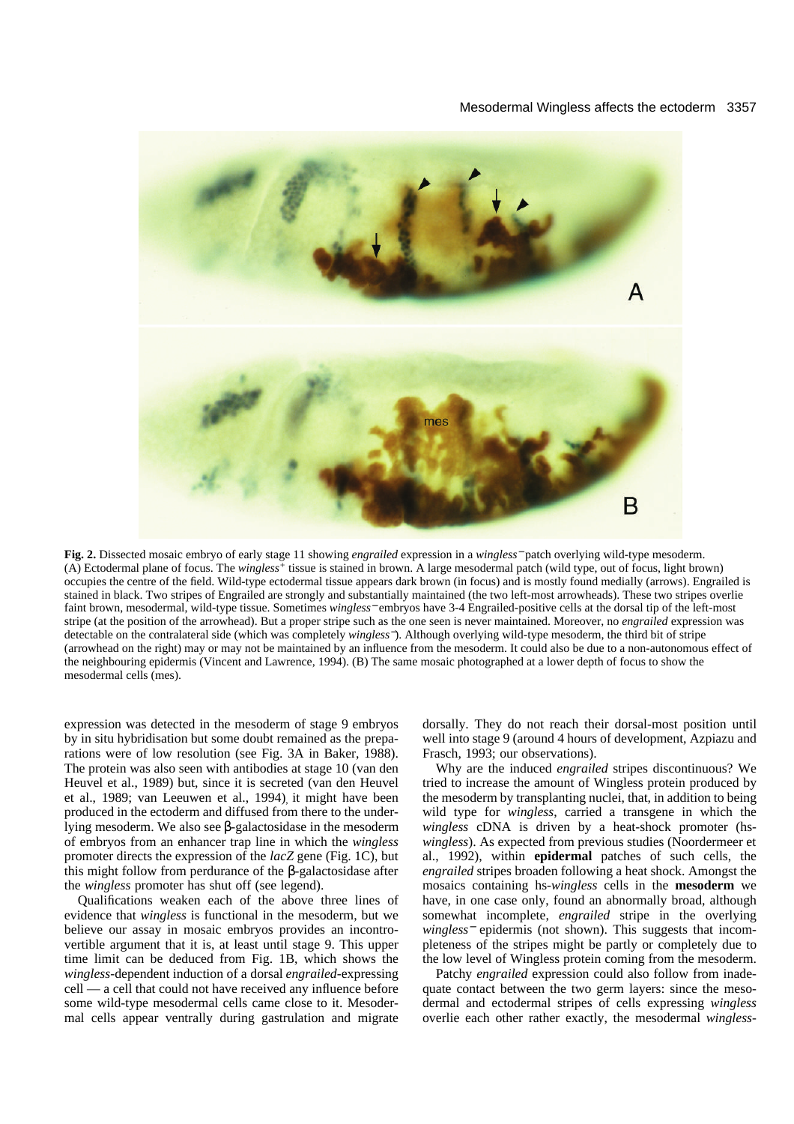#### Mesodermal Wingless affects the ectoderm 3357



**Fig. 2.** Dissected mosaic embryo of early stage 11 showing *engrailed* expression in a *wingless*<sup>−</sup> patch overlying wild-type mesoderm. (A) Ectodermal plane of focus. The *wingless+* tissue is stained in brown. A large mesodermal patch (wild type, out of focus, light brown) occupies the centre of the field. Wild-type ectodermal tissue appears dark brown (in focus) and is mostly found medially (arrows). Engrailed is stained in black. Two stripes of Engrailed are strongly and substantially maintained (the two left-most arrowheads). These two stripes overlie faint brown, mesodermal, wild-type tissue. Sometimes *wingless*<sup>−</sup> embryos have 3-4 Engrailed-positive cells at the dorsal tip of the left-most stripe (at the position of the arrowhead). But a proper stripe such as the one seen is never maintained. Moreover, no *engrailed* expression was detectable on the contralateral side (which was completely *wingless*−). Although overlying wild-type mesoderm, the third bit of stripe (arrowhead on the right) may or may not be maintained by an influence from the mesoderm. It could also be due to a non-autonomous effect of the neighbouring epidermis (Vincent and Lawrence, 1994). (B) The same mosaic photographed at a lower depth of focus to show the mesodermal cells (mes).

expression was detected in the mesoderm of stage 9 embryos by in situ hybridisation but some doubt remained as the preparations were of low resolution (see Fig. 3A in Baker, 1988). The protein was also seen with antibodies at stage 10 (van den Heuvel et al., 1989) but, since it is secreted (van den Heuvel et al., 1989; van Leeuwen et al., 1994) it might have been produced in the ectoderm and diffused from there to the underlying mesoderm. We also see β-galactosidase in the mesoderm of embryos from an enhancer trap line in which the *wingless* promoter directs the expression of the *lacZ* gene (Fig. 1C), but this might follow from perdurance of the β-galactosidase after the *wingless* promoter has shut off (see legend).

Qualifications weaken each of the above three lines of evidence that *wingless* is functional in the mesoderm, but we believe our assay in mosaic embryos provides an incontrovertible argument that it is, at least until stage 9. This upper time limit can be deduced from Fig. 1B, which shows the *wingless*-dependent induction of a dorsal *engrailed*-expressing cell — a cell that could not have received any influence before some wild-type mesodermal cells came close to it. Mesodermal cells appear ventrally during gastrulation and migrate dorsally. They do not reach their dorsal-most position until well into stage 9 (around 4 hours of development, Azpiazu and Frasch, 1993; our observations).

Why are the induced *engrailed* stripes discontinuous? We tried to increase the amount of Wingless protein produced by the mesoderm by transplanting nuclei, that, in addition to being wild type for *wingless*, carried a transgene in which the *wingless* cDNA is driven by a heat-shock promoter (hs*wingless*). As expected from previous studies (Noordermeer et al., 1992), within **epidermal** patches of such cells, the *engrailed* stripes broaden following a heat shock. Amongst the mosaics containing hs*-wingless* cells in the **mesoderm** we have, in one case only, found an abnormally broad, although somewhat incomplete, *engrailed* stripe in the overlying *wingless*<sup>−</sup> epidermis (not shown). This suggests that incompleteness of the stripes might be partly or completely due to the low level of Wingless protein coming from the mesoderm.

Patchy *engrailed* expression could also follow from inadequate contact between the two germ layers: since the mesodermal and ectodermal stripes of cells expressing *wingless* overlie each other rather exactly, the mesodermal *wingless*-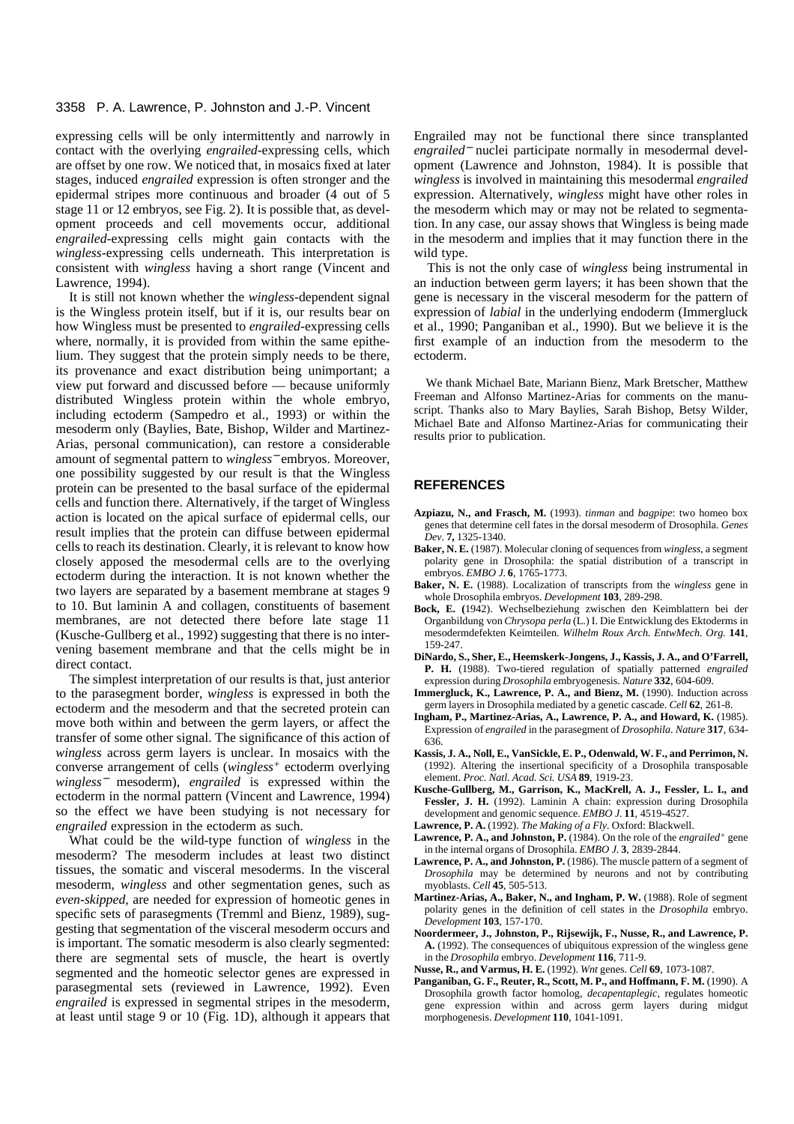## 3358 P. A. Lawrence, P. Johnston and J.-P. Vincent

expressing cells will be only intermittently and narrowly in contact with the overlying *engrailed-*expressing cells, which are offset by one row. We noticed that, in mosaics fixed at later stages, induced *engrailed* expression is often stronger and the epidermal stripes more continuous and broader (4 out of 5 stage 11 or 12 embryos, see Fig. 2). It is possible that, as development proceeds and cell movements occur, additional *engrailed*-expressing cells might gain contacts with the *wingless*-expressing cells underneath. This interpretation is consistent with *wingless* having a short range (Vincent and Lawrence, 1994).

It is still not known whether the *wingless*-dependent signal is the Wingless protein itself, but if it is, our results bear on how Wingless must be presented to *engrailed*-expressing cells where, normally, it is provided from within the same epithelium. They suggest that the protein simply needs to be there, its provenance and exact distribution being unimportant; a view put forward and discussed before — because uniformly distributed Wingless protein within the whole embryo, including ectoderm (Sampedro et al., 1993) or within the mesoderm only (Baylies, Bate, Bishop, Wilder and Martinez-Arias, personal communication), can restore a considerable amount of segmental pattern to *wingless*<sup>−</sup> embryos. Moreover, one possibility suggested by our result is that the Wingless protein can be presented to the basal surface of the epidermal cells and function there. Alternatively, if the target of Wingless action is located on the apical surface of epidermal cells, our result implies that the protein can diffuse between epidermal cells to reach its destination. Clearly, it is relevant to know how closely apposed the mesodermal cells are to the overlying ectoderm during the interaction. It is not known whether the two layers are separated by a basement membrane at stages 9 to 10. But laminin A and collagen, constituents of basement membranes, are not detected there before late stage 11 (Kusche-Gullberg et al., 1992) suggesting that there is no intervening basement membrane and that the cells might be in direct contact.

The simplest interpretation of our results is that, just anterior to the parasegment border, *wingless* is expressed in both the ectoderm and the mesoderm and that the secreted protein can move both within and between the germ layers, or affect the transfer of some other signal. The significance of this action of *wingless* across germ layers is unclear. In mosaics with the converse arrangement of cells (*wingless+* ectoderm overlying *wingless*<sup>−</sup> mesoderm), *engrailed* is expressed within the ectoderm in the normal pattern (Vincent and Lawrence, 1994) so the effect we have been studying is not necessary for *engrailed* expression in the ectoderm as such.

What could be the wild-type function of *wingless* in the mesoderm? The mesoderm includes at least two distinct tissues, the somatic and visceral mesoderms. In the visceral mesoderm, *wingless* and other segmentation genes, such as *even-skipped*, are needed for expression of homeotic genes in specific sets of parasegments (Tremml and Bienz, 1989), suggesting that segmentation of the visceral mesoderm occurs and is important. The somatic mesoderm is also clearly segmented: there are segmental sets of muscle, the heart is overtly segmented and the homeotic selector genes are expressed in parasegmental sets (reviewed in Lawrence, 1992). Even *engrailed* is expressed in segmental stripes in the mesoderm, at least until stage 9 or 10 (Fig. 1D), although it appears that Engrailed may not be functional there since transplanted *engrailed*<sup>−</sup> nuclei participate normally in mesodermal development (Lawrence and Johnston, 1984). It is possible that *wingless* is involved in maintaining this mesodermal *engrailed* expression. Alternatively, *wingless* might have other roles in the mesoderm which may or may not be related to segmentation. In any case, our assay shows that Wingless is being made in the mesoderm and implies that it may function there in the wild type.

This is not the only case of *wingless* being instrumental in an induction between germ layers; it has been shown that the gene is necessary in the visceral mesoderm for the pattern of expression of *labial* in the underlying endoderm (Immergluck et al., 1990; Panganiban et al., 1990). But we believe it is the first example of an induction from the mesoderm to the ectoderm.

We thank Michael Bate, Mariann Bienz, Mark Bretscher, Matthew Freeman and Alfonso Martinez-Arias for comments on the manuscript. Thanks also to Mary Baylies, Sarah Bishop, Betsy Wilder, Michael Bate and Alfonso Martinez-Arias for communicating their results prior to publication.

# **REFERENCES**

- **Azpiazu, N., and Frasch, M.** (1993). *tinman* and *bagpipe*: two homeo box genes that determine cell fates in the dorsal mesoderm of Drosophila. *Genes Dev.* **7,** 1325-1340.
- **Baker, N. E.** (1987). Molecular cloning of sequences from *wingless*, a segment polarity gene in Drosophila: the spatial distribution of a transcript in embryos. *EMBO J.* **6**, 1765-1773.
- **Baker, N. E.** (1988). Localization of transcripts from the *wingless* gene in whole Drosophila embryos. *Development* **103**, 289-298.
- **Bock, E. (**1942). Wechselbeziehung zwischen den Keimblattern bei der Organbildung von *Chrysopa perla* (L.) I. Die Entwicklung des Ektoderms in mesodermdefekten Keimteilen. *Wilhelm Roux Arch. EntwMech. Org.* **141**, 159-247.
- **DiNardo, S., Sher, E., Heemskerk-Jongens, J., Kassis, J. A., and O'Farrell, P. H.** (1988). Two-tiered regulation of spatially patterned *engrailed* expression during *Drosophila* embryogenesis. *Nature* **332**, 604-609.
- Immergluck, K., Lawrence, P. A., and Bienz, M. (1990). Induction across germ layers in Drosophila mediated by a genetic cascade. *Cell* **62**, 261-8.
- **Ingham, P., Martinez-Arias, A., Lawrence, P. A., and Howard, K.** (1985). Expression of *engrailed* in the parasegment of *Drosophila*. *Nature* **317**, 634- 636.
- **Kassis, J. A., Noll, E., VanSickle, E. P., Odenwald, W. F., and Perrimon, N.** (1992). Altering the insertional specificity of a Drosophila transposable element. *Proc. Natl. Acad. Sci. USA* **89**, 1919-23.
- **Kusche-Gullberg, M., Garrison, K., MacKrell, A. J., Fessler, L. I., and Fessler, J. H.** (1992). Laminin A chain: expression during Drosophila development and genomic sequence. *EMBO J.* **11**, 4519-4527.
- **Lawrence, P. A.** (1992). *The Making of a Fly.* Oxford: Blackwell.
- **Lawrence, P. A., and Johnston, P.** (1984). On the role of the *engrailed+* gene in the internal organs of Drosophila. *EMBO J.* **3**, 2839-2844.
- Lawrence, P. A., and Johnston, P. (1986). The muscle pattern of a segment of *Drosophila* may be determined by neurons and not by contributing myoblasts. *Cell* **45**, 505-513.
- Martinez-Arias, A., Baker, N., and Ingham, P. W. (1988). Role of segment polarity genes in the definition of cell states in the *Drosophila* embryo. *Development* **103**, 157-170.
- **Noordermeer, J., Johnston, P., Rijsewijk, F., Nusse, R., and Lawrence, P. A.** (1992). The consequences of ubiquitous expression of the wingless gene in the *Drosophila* embryo. *Development* **116**, 711-9.
- **Nusse, R., and Varmus, H. E.** (1992). *Wnt* genes. *Cell* **69**, 1073-1087.
- **Panganiban, G. F., Reuter, R., Scott, M. P., and Hoffmann, F. M.** (1990). A Drosophila growth factor homolog, *decapentaplegic*, regulates homeotic gene expression within and across germ layers during midgut morphogenesis. *Development* **110**, 1041-1091.